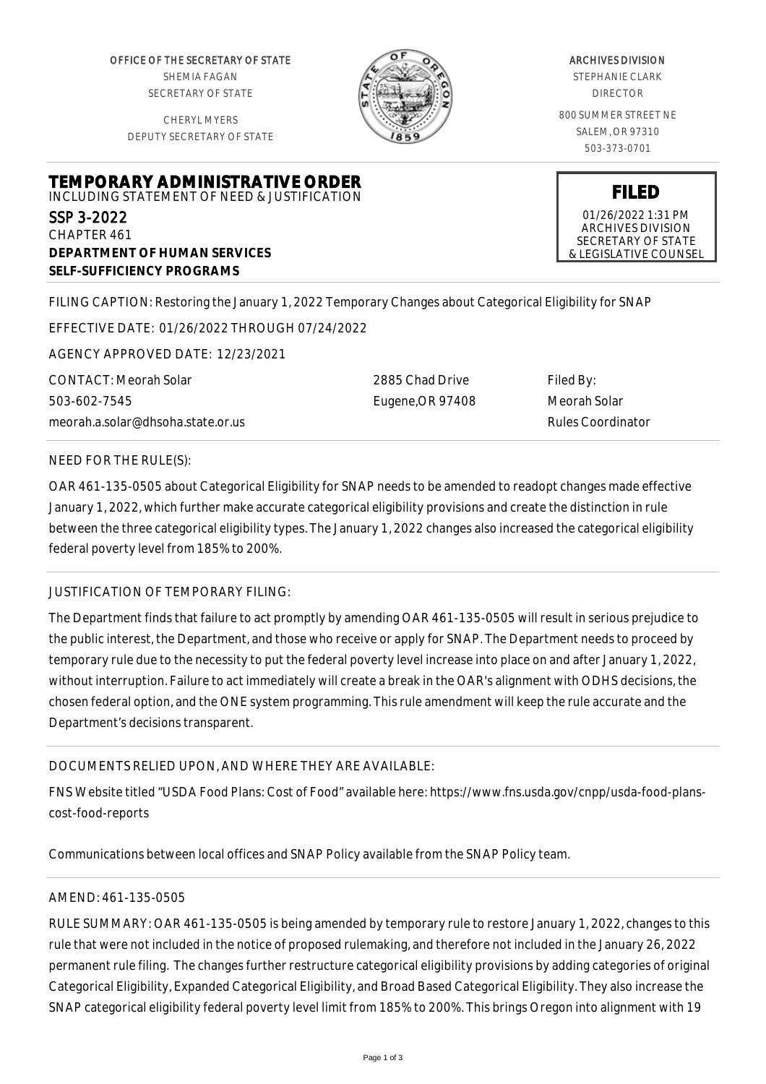OFFICE OF THE SECRETARY OF STATE SHEMIA FAGAN SECRETARY OF STATE

CHERYL MYERS DEPUTY SECRETARY OF STATE



#### ARCHIVES DIVISION

STEPHANIE CLARK DIRECTOR

800 SUMMER STREET NE SALEM, OR 97310 503-373-0701

**FILED** 01/26/2022 1:31 PM ARCHIVES DIVISION SECRETARY OF STATE & LEGISLATIVE COUNSEL

## **TEMPORARY ADMINISTRATIVE ORDER** INCLUDING STATEMENT OF NEED & JUSTIFICATION SSP 3-2022 CHAPTER 461

**DEPARTMENT OF HUMAN SERVICES SELF-SUFFICIENCY PROGRAMS**

FILING CAPTION: Restoring the January 1, 2022 Temporary Changes about Categorical Eligibility for SNAP

EFFECTIVE DATE: 01/26/2022 THROUGH 07/24/2022

AGENCY APPROVED DATE: 12/23/2021

CONTACT: Meorah Solar 503-602-7545 meorah.a.solar@dhsoha.state.or.us 2885 Chad Drive Eugene,OR 97408 Filed By: Meorah Solar Rules Coordinator

### NEED FOR THE RULE(S):

OAR 461-135-0505 about Categorical Eligibility for SNAP needs to be amended to readopt changes made effective January 1, 2022, which further make accurate categorical eligibility provisions and create the distinction in rule between the three categorical eligibility types. The January 1, 2022 changes also increased the categorical eligibility federal poverty level from 185% to 200%.

### JUSTIFICATION OF TEMPORARY FILING:

The Department finds that failure to act promptly by amending OAR 461-135-0505 will result in serious prejudice to the public interest, the Department, and those who receive or apply for SNAP. The Department needs to proceed by temporary rule due to the necessity to put the federal poverty level increase into place on and after January 1, 2022, without interruption. Failure to act immediately will create a break in the OAR's alignment with ODHS decisions, the chosen federal option, and the ONE system programming. This rule amendment will keep the rule accurate and the Department's decisions transparent.

# DOCUMENTS RELIED UPON, AND WHERE THEY ARE AVAILABLE:

FNS Website titled "USDA Food Plans: Cost of Food" available here: https://www.fns.usda.gov/cnpp/usda-food-planscost-food-reports

Communications between local offices and SNAP Policy available from the SNAP Policy team.

# AMEND: 461-135-0505

RULE SUMMARY: OAR 461-135-0505 is being amended by temporary rule to restore January 1, 2022, changes to this rule that were not included in the notice of proposed rulemaking, and therefore not included in the January 26, 2022 permanent rule filing. The changes further restructure categorical eligibility provisions by adding categories of original Categorical Eligibility, Expanded Categorical Eligibility, and Broad Based Categorical Eligibility. They also increase the SNAP categorical eligibility federal poverty level limit from 185% to 200%. This brings Oregon into alignment with 19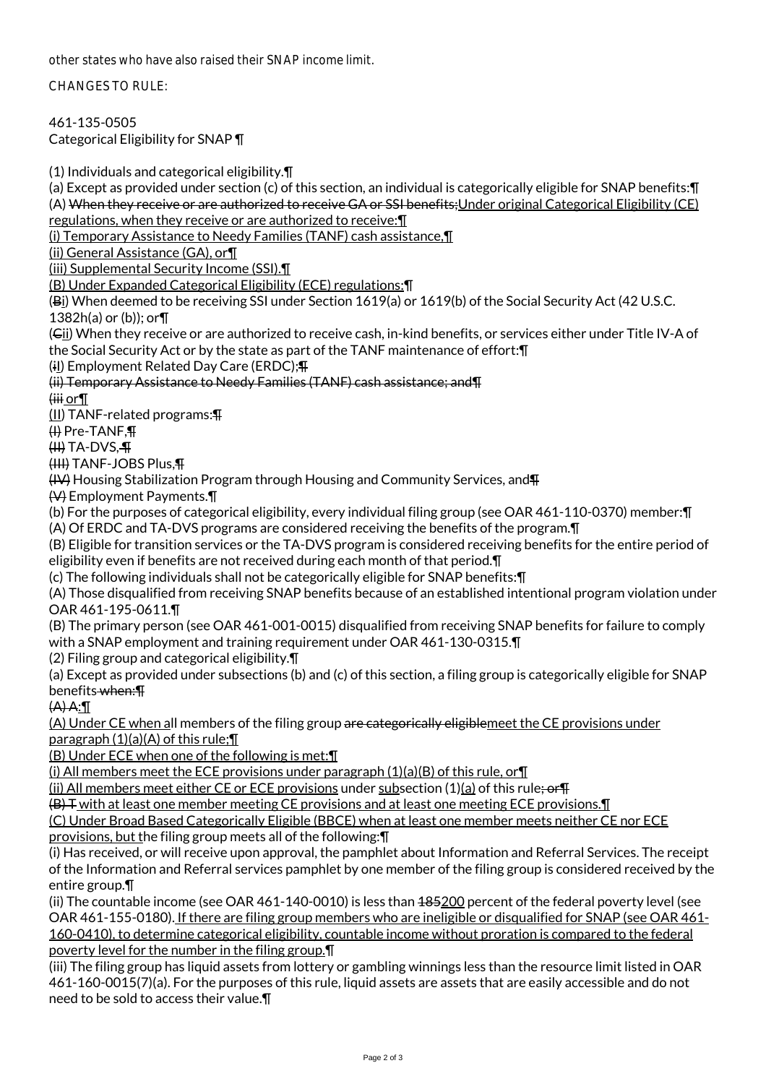other states who have also raised their SNAP income limit.

CHANGES TO RULE:

461-135-0505 Categorical Eligibility for SNAP ¶

(1) Individuals and categorical eligibility.¶

(a) Except as provided under section (c) of this section, an individual is categorically eligible for SNAP benefits:¶ (A) When they receive or are authorized to receive GA or SSI benefits;Under original Categorical Eligibility (CE) regulations, when they receive or are authorized to receive:¶

(i) Temporary Assistance to Needy Families (TANF) cash assistance,¶

(ii) General Assistance (GA), or¶

(iii) Supplemental Security Income (SSI).¶

(B) Under Expanded Categorical Eligibility (ECE) regulations:¶

(Bi) When deemed to be receiving SSI under Section 1619(a) or 1619(b) of the Social Security Act (42 U.S.C. 1382h(a) or (b)); or¶

(Cii) When they receive or are authorized to receive cash, in-kind benefits, or services either under Title IV-A of the Social Security Act or by the state as part of the TANF maintenance of effort:¶

(il) Employment Related Day Care (ERDC); \[

(ii) Temporary Assistance to Needy Families (TANF) cash assistance; and¶

 $\overline{\mathsf{init}}$  or  $\P$ 

(II) TANF-related programs:¶

(I) Pre-TANF,¶

 $(H)$  TA-DVS. $\P$ 

(III) TANF-JOBS Plus,¶

(IV) Housing Stabilization Program through Housing and Community Services, and¶

(V) Employment Payments.¶

(b) For the purposes of categorical eligibility, every individual filing group (see OAR 461-110-0370) member:¶ (A) Of ERDC and TA-DVS programs are considered receiving the benefits of the program.¶

(B) Eligible for transition services or the TA-DVS program is considered receiving benefits for the entire period of eligibility even if benefits are not received during each month of that period.¶

(c) The following individuals shall not be categorically eligible for SNAP benefits:¶

(A) Those disqualified from receiving SNAP benefits because of an established intentional program violation under OAR 461-195-0611.¶

(B) The primary person (see OAR 461-001-0015) disqualified from receiving SNAP benefits for failure to comply with a SNAP employment and training requirement under OAR 461-130-0315.¶

(2) Filing group and categorical eligibility.¶

(a) Except as provided under subsections (b) and (c) of this section, a filing group is categorically eligible for SNAP benefits when:¶

(A) A:¶

(A) Under CE when all members of the filing group are categorically eligiblemeet the CE provisions under paragraph  $(1)(a)(A)$  of this rule; $\P$ 

(B) Under ECE when one of the following is met:¶

(i) All members meet the ECE provisions under paragraph  $(1)(a)(B)$  of this rule, or  $\P$ 

(ii) All members meet either CE or ECE provisions under subsection  $(1)(a)$  of this rule; or  $\P$ 

(B) T with at least one member meeting CE provisions and at least one meeting ECE provisions.¶

(C) Under Broad Based Categorically Eligible (BBCE) when at least one member meets neither CE nor ECE provisions, but the filing group meets all of the following: [

(i) Has received, or will receive upon approval, the pamphlet about Information and Referral Services. The receipt of the Information and Referral services pamphlet by one member of the filing group is considered received by the entire group.¶

(ii) The countable income (see OAR 461-140-0010) is less than  $485200$  percent of the federal poverty level (see OAR 461-155-0180). If there are filing group members who are ineligible or disqualified for SNAP (see OAR 461- 160-0410), to determine categorical eligibility, countable income without proration is compared to the federal poverty level for the number in the filing group.¶

(iii) The filing group has liquid assets from lottery or gambling winnings less than the resource limit listed in OAR 461-160-0015(7)(a). For the purposes of this rule, liquid assets are assets that are easily accessible and do not need to be sold to access their value.¶